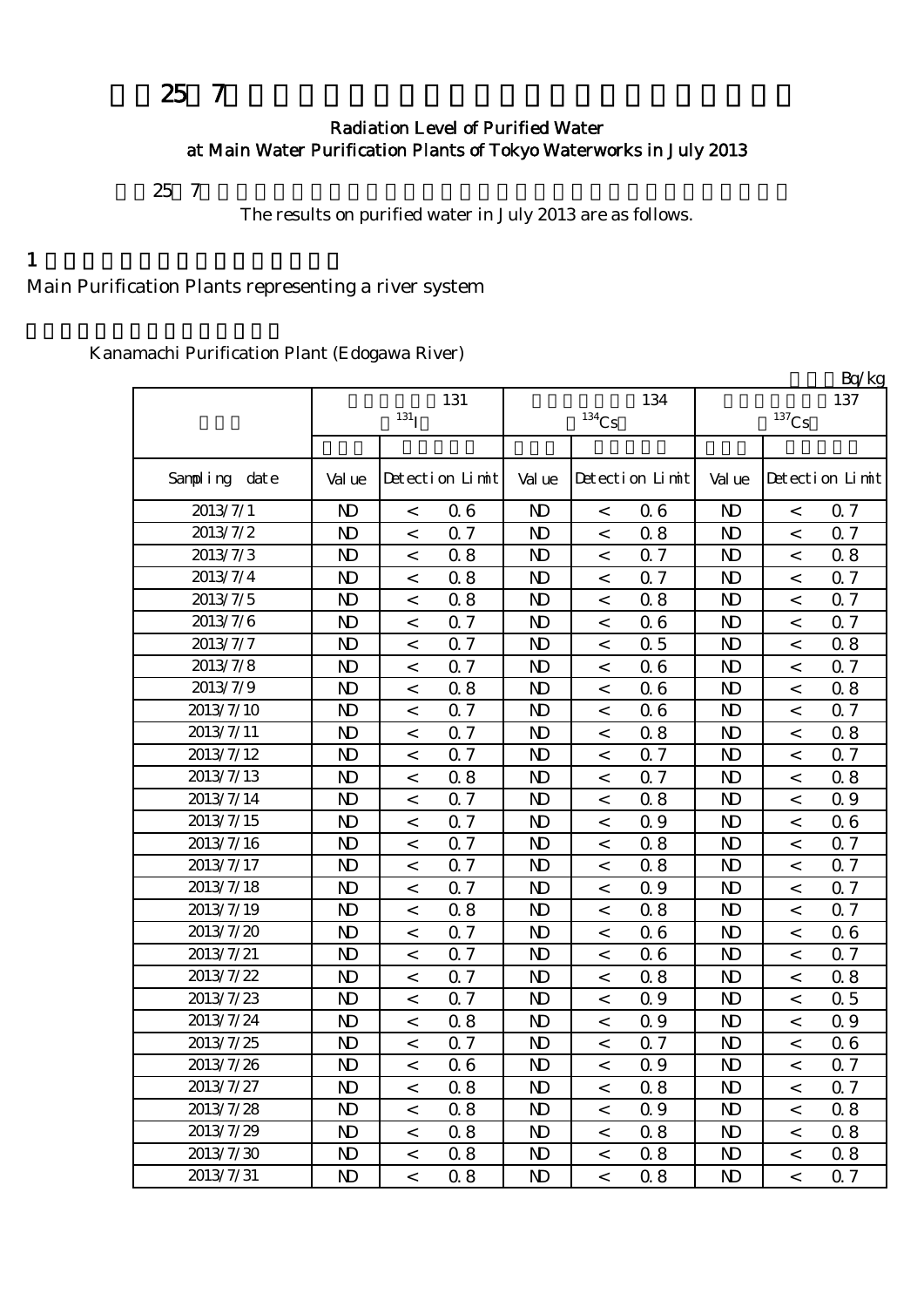# 平成25年7月の主要浄水場の水道水の放射能測定結果について

#### Radiation Level of Purified Water at Main Water Purification Plants of Tokyo Waterworks in July 2013

 $257$ 

The results on purified water in July 2013 are as follows.

#### $1$

Main Purification Plants representing a river system

Kanamachi Purification Plant (Edogawa River)

|               |                |                          |                 |                |                     |                 |                |                          | Bq/kg           |
|---------------|----------------|--------------------------|-----------------|----------------|---------------------|-----------------|----------------|--------------------------|-----------------|
|               |                |                          | 131             |                |                     | 134             |                |                          | 137             |
|               |                | $131$ <sup>T</sup>       |                 |                | $^{134}\mathrm{Cs}$ |                 |                | $^{137}\mathrm{Cs}$      |                 |
|               |                |                          |                 |                |                     |                 |                |                          |                 |
| Sampling date | Val ue         |                          | Detection Limit | Val ue         |                     | Detection Limit | Val ue         |                          | Detection Limit |
| 2013/7/1      | $\mathbf{N}$   | $\,<\,$                  | 06              | $\mathbf{D}$   | $\,<$               | 06              | N <sub>D</sub> | $\,<$                    | 0.7             |
| 2013/7/2      | $\mathbf{D}$   | $\,<\,$                  | 0.7             | $\mathbf{D}$   | $\,<$               | 0.8             | $\mathbf{D}$   | $\,<$                    | 0.7             |
| 2013/7/3      | $\mathbf{D}$   | $\,<$                    | 0.8             | $\mathbf{D}$   | $\,<$               | 0.7             | $\mathbf{D}$   | $\,<$                    | 0.8             |
| 2013/7/4      | $\mathbf{D}$   | $\,<$                    | 0.8             | $\mathbf{D}$   | $\,<$               | Q <sub>7</sub>  | $\mathbf{D}$   | $\,<$                    | Q 7             |
| 2013/7/5      | $\mathbf{D}$   | $\,<$                    | 0.8             | N <sub>D</sub> | $\,<$               | 0.8             | N <sub>D</sub> | $\overline{a}$           | 0.7             |
| 2013/7/6      | $\mathbf{D}$   | $\,<$                    | 0.7             | N <sub>D</sub> | $\,<$               | 06              | N <sub>D</sub> | $\,<$                    | 0.7             |
| 2013/7/7      | $\mathbf{D}$   | $\,<$                    | Q <sub>7</sub>  | $\mathbf{D}$   | $\,<\,$             | 0.5             | $\mathbf{D}$   | $\,<$                    | 0.8             |
| 2013/7/8      | $\mathbf{D}$   | $\,<$                    | Q 7             | $\mathbf{D}$   | $\,<$               | 06              | N <sub>D</sub> | $\,<$                    | 0.7             |
| 2013/7/9      | $\mathbf{D}$   | $\,<$                    | 0.8             | $\mathbf{D}$   | $\,<$               | 06              | N <sub>D</sub> | $\lt$                    | 0.8             |
| 2013/7/10     | $\mathbf{D}$   | $\,<$                    | Q 7             | N <sub>D</sub> | $\,<$               | 06              | N <sub>D</sub> | $\prec$                  | 0.7             |
| 2013/7/11     | $\mathbf{D}$   | $\,<$                    | 0.7             | $\mathbf{D}$   | $\,<$               | 0.8             | N <sub>D</sub> | $\,<$                    | 0.8             |
| 2013/7/12     | $\mathbf{D}$   | $\,<\,$                  | 0.7             | $\mathbf{D}$   | $\,<\,$             | Q <sub>7</sub>  | N <sub>D</sub> | $\,<$                    | Q 7             |
| 2013/7/13     | N <sub>D</sub> | $\,<\,$                  | 0.8             | N <sub>D</sub> | $\,<$               | 0.7             | N <sub>D</sub> | $\prec$                  | 0.8             |
| 2013/7/14     | $\mathbf{D}$   | $\,<\,$                  | 0.7             | N <sub>D</sub> | $\,<$               | 0.8             | N <sub>D</sub> | $\,<$                    | 0.9             |
| 2013/7/15     | $\mathbf{D}$   | $\,<\,$                  | 0.7             | $\mathbf{D}$   | $\,<$               | 0.9             | $\mathbf{D}$   | $\,<$                    | 06              |
| 2013/7/16     | $\mathbf{D}$   | $\,<\,$                  | 0.7             | $\mathbf{D}$   | $\,<$               | 0.8             | N <sub>D</sub> | $\,<$                    | 0.7             |
| 2013/7/17     | $\mathbf{D}$   | $\,<\,$                  | 0.7             | $\mathbf{D}$   | $\,<$               | 0.8             | N <sub>D</sub> | $\,<$                    | Q 7             |
| 2013/7/18     | $\mathbf{D}$   | $\overline{\phantom{a}}$ | 0.7             | N <sub>D</sub> | $\,<$               | 0.9             | N <sub>D</sub> | $\,<$                    | 0.7             |
| 2013/7/19     | $\mathbf{D}$   | $\,<$                    | 0.8             | $\mathbf{D}$   | $\,<$               | 0.8             | N <sub>D</sub> | $\,<$                    | 0.7             |
| 2013/7/20     | $\mathbf{D}$   | $\,<\,$                  | 0.7             | $\mathbf{D}$   | $\,<$               | 06              | $\mathbf{D}$   | $\,<$                    | 06              |
| 2013/7/21     | $\mathbf{D}$   | $\,<\,$                  | Q 7             | N <sub>D</sub> | $\,<$               | 06              | N <sub>D</sub> | $\,<$                    | 0.7             |
| 2013/7/22     | $\mathbf{D}$   | $\,<\,$                  | 0.7             | N <sub>D</sub> | $\,<$               | 0.8             | N <sub>D</sub> | $\lt$                    | 0.8             |
| 2013/7/23     | $\mathbf{D}$   | $\,<\,$                  | 0.7             | $\mathbf{D}$   | $\,<$               | 0.9             | N <sub>D</sub> | $\,<$                    | 0.5             |
| 2013/7/24     | $\mathbf{D}$   | $\,<$                    | 0.8             | $\mathbf{D}$   | $\,<$               | 0.9             | $\mathbf{D}$   | $\,<$                    | 0.9             |
| 2013/7/25     | $\mathbf{D}$   | $\,<$                    | 0.7             | N <sub>D</sub> | $\,<$               | 0.7             | N <sub>D</sub> | $\,<$                    | 06              |
| 2013/7/26     | $\mathbf{D}$   | $\,<\,$                  | 06              | $\mathbf{N}$   | $\,<\,$             | 0.9             | $\mathbf{D}$   | $\,<\,$                  | <b>Q</b> 7      |
| 2013/7/27     | ND.            | $\,<\,$                  | 0.8             | N <sub>D</sub> | $\,<\,$             | 08              | N <sub>D</sub> | $\,<\,$                  | 0.7             |
| 2013/7/28     | $\mathbf{D}$   | $\,<\,$                  | 0.8             | N <sub>D</sub> | $\,<$               | 0.9             | $\mathbf{D}$   | $\,<$                    | 0.8             |
| 2013/7/29     | N <sub>D</sub> | $\,<\,$                  | 0.8             | N <sub>D</sub> | $\,<$               | 0.8             | N <sub>D</sub> | $\,<\,$                  | 0.8             |
| 2013/7/30     | N <sub>D</sub> | $\,<\,$                  | 0.8             | N <sub>D</sub> | $\,<\,$             | 0.8             | N <sub>D</sub> | $\lt$                    | 0.8             |
| 2013/7/31     | N <sub>D</sub> | $\lt$                    | 0.8             | N <sub>D</sub> | $\,<$               | 0.8             | N <sub>D</sub> | $\overline{\phantom{a}}$ | 0.7             |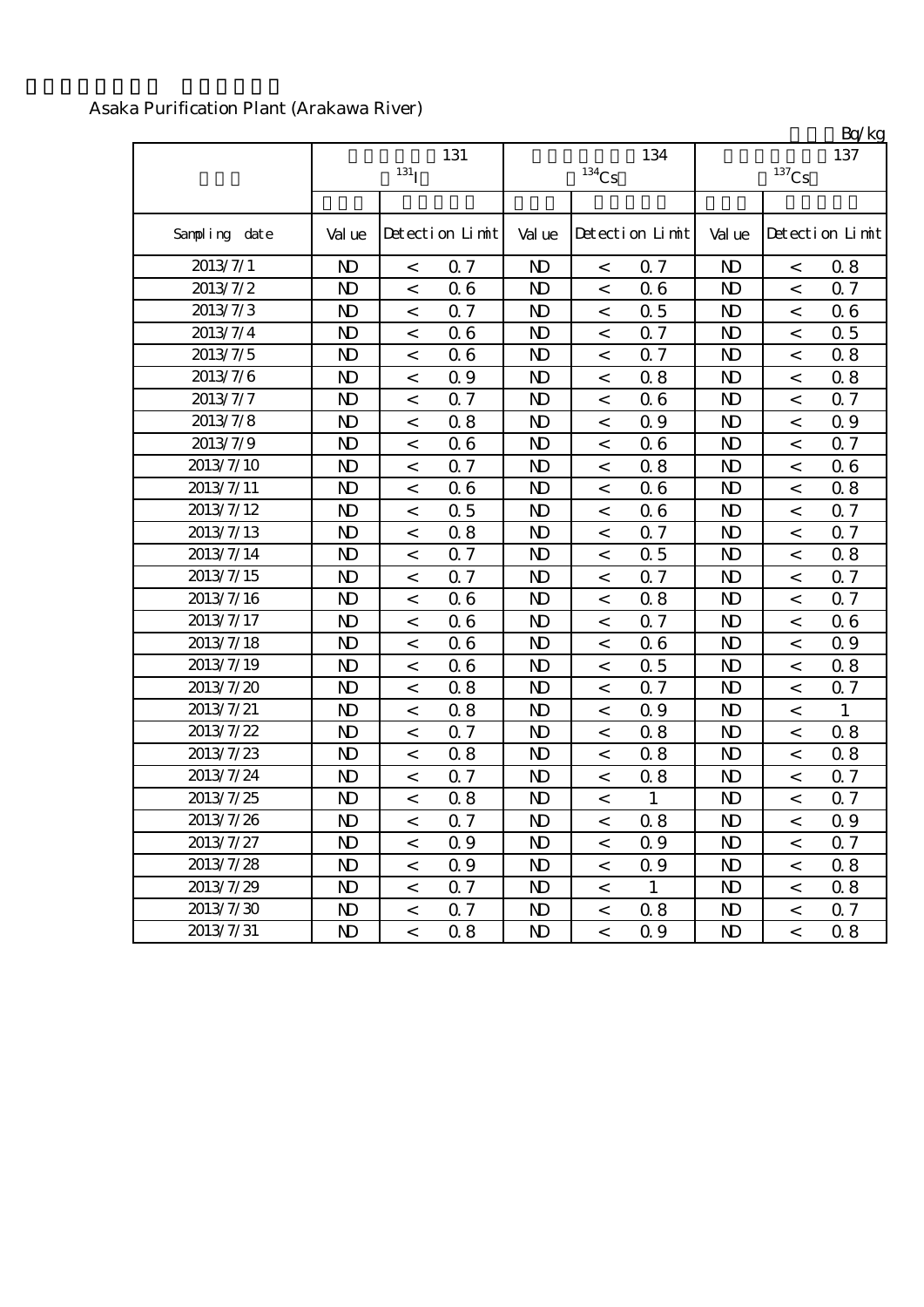### Asaka Purification Plant (Arakawa River)

|               |                | 131 <sub>I</sub>         | 131             |                | $^{134}\mathrm{Cs}$      | 134             |                | $^{137}\mathrm{Cs}$      | Ly ng<br>137    |
|---------------|----------------|--------------------------|-----------------|----------------|--------------------------|-----------------|----------------|--------------------------|-----------------|
| Sampling date | Val ue         |                          | Detection Limit | Val ue         |                          | Detection Limit | Val ue         |                          | Detection Limit |
| 2013/7/1      | $\mathbf{D}$   | $\,<$                    | 0.7             | $\mathbf{D}$   | $\lt$                    | 0.7             | $\mathbf{D}$   | $\,<$                    | 0.8             |
| 2013/7/2      | $\mathbf{D}$   | $\,<$                    | 06              | $\mathbf{D}$   | $\,<\,$                  | 06              | $\mathbf{D}$   | $\,<\,$                  | 0.7             |
| 2013/7/3      | $\mathbf{D}$   | $\,<$                    | 0.7             | $\mathbf{D}$   | $\,<$                    | 0.5             | $\mathbf{D}$   | $\,<\,$                  | 06              |
| 2013/7/4      | $\mathbf{D}$   | $\,<\,$                  | 06              | N <sub>D</sub> | $\,<\,$                  | 0.7             | N <sub>D</sub> | $\,<$                    | 0.5             |
| 2013/7/5      | $\mathbf{D}$   | $\,<$                    | 06              | N <sub>D</sub> | $\,<$                    | Q 7             | N <sub>D</sub> | $\,<\,$                  | 0.8             |
| 2013/7/6      | $\mathbf{D}$   | $\overline{\phantom{0}}$ | Q 9             | N <sub>D</sub> | $\overline{\phantom{0}}$ | 0.8             | N <sub>D</sub> | $\,<$                    | 0.8             |
| 2013/7/7      | $\mathbf{D}$   | $\,<\,$                  | 0.7             | N <sub>D</sub> | $\,<\,$                  | 06              | $\mathbf{D}$   | $\,<$                    | Q 7             |
| 2013/7/8      | $\mathbf{D}$   | $\,<\,$                  | 0.8             | N <sub>D</sub> | $\overline{\phantom{a}}$ | 0.9             | $\mathbf{D}$   | $\,<\,$                  | 0.9             |
| 2013/7/9      | $\mathbf{D}$   | $\,<$                    | 06              | N <sub>D</sub> | $\,<\,$                  | 06              | $\mathbf{D}$   | $\,<$                    | Q 7             |
| 2013/7/10     | $\mathbf{D}$   | $\,<$                    | 0.7             | $\mathbf{D}$   | $\,<\,$                  | 0.8             | $\mathbf{D}$   | $\,<$                    | 06              |
| 2013/7/11     | $\mathbf{D}$   | $\prec$                  | 06              | N <sub>D</sub> | $\,<\,$                  | 06              | N <sub>D</sub> | $\,<$                    | 0.8             |
| 2013/7/12     | $\mathbf{D}$   | $\,<$                    | 0.5             | N <sub>D</sub> | $\overline{\phantom{0}}$ | 06              | $\mathbf{D}$   | $\,<$                    | Q 7             |
| 2013/7/13     | $\mathbf{D}$   | $\,<$                    | 0.8             | N <sub>D</sub> | $\,<\,$                  | 0.7             | $\mathbf{D}$   | $\,<$                    | Q 7             |
| 2013/7/14     | $\mathbf{D}$   | $\,<$                    | 0.7             | N <sub>D</sub> | $\,<\,$                  | 0.5             | N <sub>D</sub> | $\,<$                    | 0.8             |
| 2013/7/15     | $\mathbf{D}$   | $\,<$                    | Q <sub>7</sub>  | N <sub>D</sub> | $\,<\,$                  | Q <sub>7</sub>  | N <sub>D</sub> | $\,<$                    | Q 7             |
| 2013/7/16     | $\mathbf{D}$   | $\,<$                    | 06              | $\mathbf{D}$   | $\overline{\phantom{0}}$ | 0.8             | N <sub>D</sub> | $\,<$                    | 0.7             |
| 2013/7/17     | $\mathbf{D}$   | $\overline{a}$           | 06              | N <sub>D</sub> | $\overline{\phantom{0}}$ | Q 7             | N <sub>D</sub> | $\,<$                    | 06              |
| 2013/7/18     | $\mathbf{D}$   | $\overline{\phantom{0}}$ | 06              | $\mathbf{D}$   | $\overline{\phantom{0}}$ | 06              | N <sub>D</sub> | $\,<$                    | Q 9             |
| 2013/7/19     | N <sub>D</sub> | $\lt$                    | 06              | N <sub>D</sub> | $\lt$                    | 0.5             | $\mathbf{D}$   | $\overline{\phantom{a}}$ | 0.8             |
| 2013/7/20     | $\mathbf{D}$   | $\,<\,$                  | 0.8             | $\mathbf{D}$   | $\,<\,$                  | 0.7             | $\mathbf{D}$   | $\,<$                    | 0.7             |
| 2013/7/21     | N <sub>D</sub> | $\,<$                    | 0.8             | N <sub>D</sub> | $\overline{\phantom{0}}$ | Q 9             | N <sub>D</sub> | $\,<$                    | $\mathbf{1}$    |
| 2013/7/22     | $\mathbf{D}$   | $\,<$                    | 0.7             | $\mathbf{D}$   | $\,<\,$                  | 0.8             | $\mathbf{D}$   | $\,<\,$                  | 0.8             |
| 2013/7/23     | $\mathbf{D}$   | $\,<$                    | 0.8             | N <sub>D</sub> | $\overline{\phantom{0}}$ | 0.8             | N <sub>D</sub> | $\,<\,$                  | 0.8             |
| 2013/7/24     | $\mathbf{D}$   | $\,<$                    | 0.7             | $\mathbf{D}$   | $\,<$                    | 0.8             | $\mathbf{D}$   | $\,<\,$                  | Q 7             |
| 2013/7/25     | $\mathbf{D}$   | $\,<$                    | 0.8             | $\mathbf{D}$   | $\,<$                    | 1               | $\mathbf{D}$   | $\,<\,$                  | Q 7             |
| 2013/7/26     | $\mathbf{D}$   | $\,<\,$                  | 0.7             | $\mathbf{D}$   | $\,<$                    | 0.8             | $\mathbf{D}$   | $\,<\,$                  | 0.9             |
| 2013/7/27     | $\mathbf{D}$   | $\,<$                    | 0.9             | N <sub>D</sub> | $\,<\,$                  | 0.9             | $\mathbf{D}$   | $\,<\,$                  | 0.7             |
| 2013/7/28     | $\mathbf{D}$   | $\,<$                    | 0.9             | N <sub>D</sub> | $\,<$                    | 0.9             | $\mathbf{D}$   | $\,<$                    | 0.8             |
| 2013/7/29     | $\mathbf{D}$   | $\,<\,$                  | 0.7             | N <sub>D</sub> | $\,<\,$                  | $\mathbf{1}$    | $\mathbf{D}$   | $\,<$                    | 0.8             |
| 2013/7/30     | N <sub>D</sub> | $\,<$                    | 0.7             | N <sub>D</sub> | $\,<\,$                  | 0.8             | N <sub>D</sub> | $\,<$                    | 0.7             |
| 2013/7/31     | $\mathbf{D}$   | $\,<\,$                  | 0.8             | N <sub>D</sub> | $\,<\,$                  | 0.9             | N <sub>D</sub> | $\,<$                    | 0.8             |

 $R_0/k_0$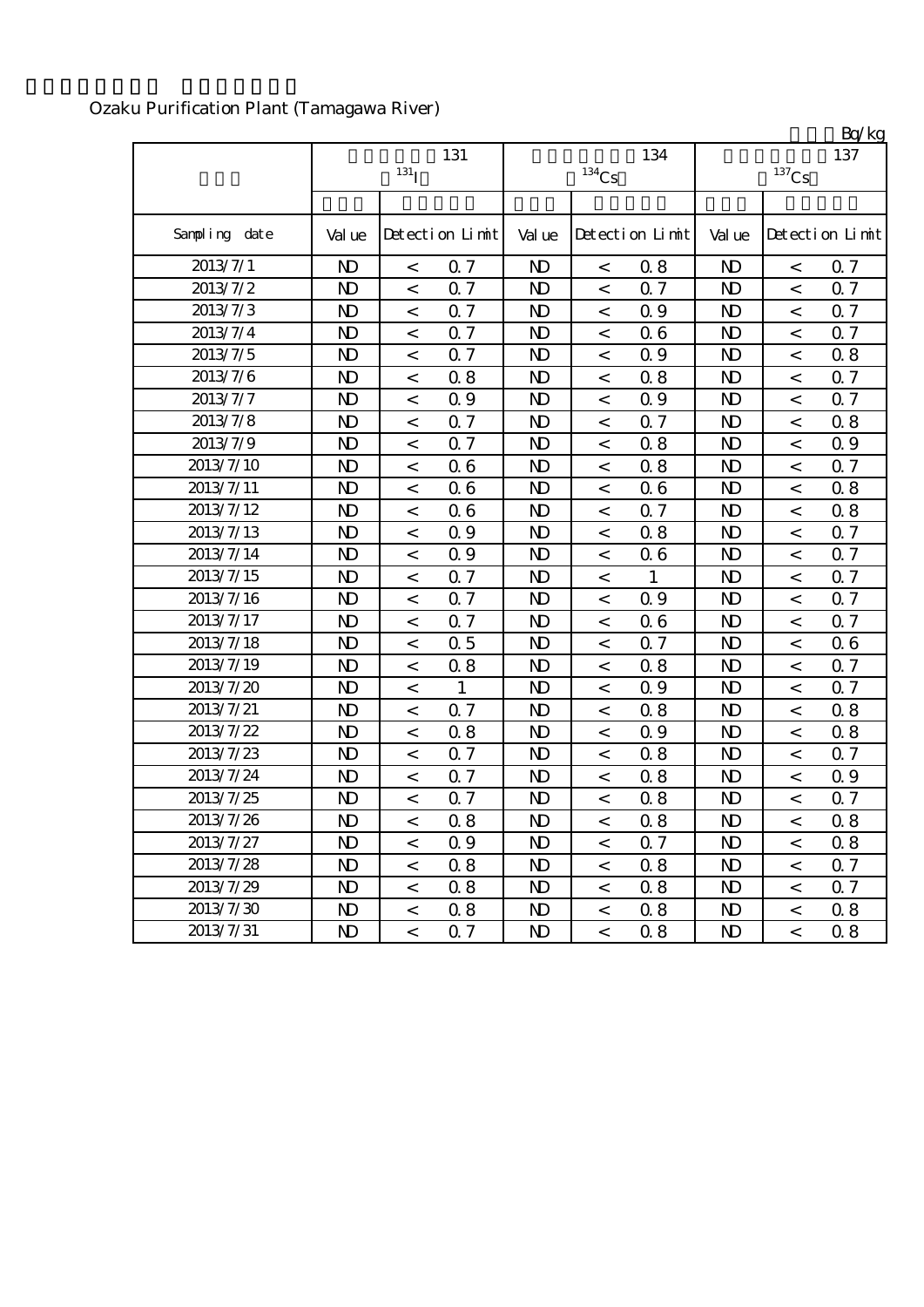# Ozaku Purification Plant (Tamagawa River)

|               |              | 131 <sub>I</sub>         | 131             |                | $134$ Cs                 | 134             |                | $^{137}\mathrm{Cs}$ | Ly ng<br>137    |
|---------------|--------------|--------------------------|-----------------|----------------|--------------------------|-----------------|----------------|---------------------|-----------------|
| Sampling date | Val ue       |                          | Detection Limit | Val ue         |                          | Detection Limit | Val ue         |                     | Detection Limit |
| 2013/7/1      | $\mathbf{D}$ | $\,<$                    | 0.7             | $\mathbf{D}$   | $\,<$                    | 0.8             | $\mathbf{D}$   | $\,<$               | 0.7             |
| 2013/7/2      | $\mathbf{D}$ | $\,<$                    | 0.7             | $\mathbf{D}$   | $\,<$                    | 0.7             | $\mathbf{D}$   | $\,<\,$             | 0.7             |
| 2013/7/3      | $\mathbf{D}$ | $\,<\,$                  | 0.7             | N <sub>D</sub> | $\,<\,$                  | 0.9             | $\mathbf{D}$   | $\,<$               | 0.7             |
| 2013/7/4      | $\mathbf{D}$ | $\,<\,$                  | 0.7             | N <sub>D</sub> | $\,<\,$                  | 06              | $\mathbf{D}$   | $\,<\,$             | Q 7             |
| 2013/7/5      | $\mathbf{D}$ | $\,<\,$                  | 0.7             | $\mathbf{D}$   | $\lt$                    | 0.9             | N <sub>D</sub> | $\,<$               | 0.8             |
| 2013/7/6      | $\mathbf{D}$ | $\,<\,$                  | 0.8             | N <sub>D</sub> | $\overline{\phantom{0}}$ | 0.8             | N <sub>D</sub> | $\,<$               | 0.7             |
| 2013/7/7      | $\mathbf{D}$ | $\,<\,$                  | 0.9             | N <sub>D</sub> | $\,<\,$                  | Q 9             | $\mathbf{D}$   | $\,<$               | Q 7             |
| 2013/7/8      | $\mathbf{D}$ | $\,<\,$                  | 0.7             | N <sub>D</sub> | $\overline{\phantom{a}}$ | 0.7             | $\mathbf{D}$   | $\,<$               | 0.8             |
| 2013/7/9      | $\mathbf{D}$ | $\,<\,$                  | 0.7             | N <sub>D</sub> | $\,<\,$                  | 0.8             | N <sub>D</sub> | $\,<$               | 0.9             |
| 2013/7/10     | $\mathbf{D}$ | $\,<\,$                  | 06              | $\mathbf{D}$   | $\,<\,$                  | 0.8             | $\mathbf{D}$   | $\,<$               | Q <sub>7</sub>  |
| 2013/7/11     | $\mathbf{D}$ | $\,<$                    | 06              | N <sub>D</sub> | $\,<\,$                  | 06              | $\mathbf{D}$   | $\,<\,$             | 0.8             |
| 2013/7/12     | $\mathbf{D}$ | $\,<$                    | 06              | $\mathbf{D}$   | $\,<\,$                  | Q <sub>7</sub>  | $\mathbf{D}$   | $\,<$               | 0.8             |
| 2013/7/13     | $\mathbf{D}$ | $\,<$                    | Q 9             | N <sub>D</sub> | $\,<\,$                  | 0.8             | N <sub>D</sub> | $\,<$               | Q 7             |
| 2013/7/14     | $\mathbf{D}$ | $\,<$                    | 0.9             | $\mathbf{D}$   | $\,<\,$                  | 06              | N <sub>D</sub> | $\,<$               | 0.7             |
| 2013/7/15     | $\mathbf{D}$ | $\,<\,$                  | 0.7             | $\mathbf{D}$   | $\,<\,$                  | $\mathbf{1}$    | N <sub>D</sub> | $\overline{a}$      | 0.7             |
| 2013/7/16     | $\mathbf{D}$ | $\,<\,$                  | Q 7             | $\mathbf{D}$   | $\,<$                    | Q 9             | N <sub>D</sub> | $\,<$               | Q 7             |
| 2013/7/17     | $\mathbf{D}$ | $\overline{\phantom{0}}$ | 0.7             | $\mathbf{D}$   | $\,<\,$                  | 06              | N <sub>D</sub> | $\,<$               | 0.7             |
| 2013/7/18     | $\mathbf{D}$ | $\,<\,$                  | 0.5             | $\mathbf{D}$   | $\overline{\phantom{0}}$ | 0.7             | $\mathbf{D}$   | $\,<\,$             | 06              |
| 2013/7/19     | $\mathbf{D}$ | $\,<\,$                  | 0.8             | $\mathbf{D}$   | $\,<\,$                  | 0.8             | N <sub>D</sub> | $\,<$               | 0.7             |
| 2013/7/20     | $\mathbf{D}$ | $\,<\,$                  | $\mathbf{1}$    | $\mathbf{D}$   | $\overline{\phantom{0}}$ | 0.9             | $\mathbf{D}$   | $\,<\,$             | Q 7             |
| 2013/7/21     | $\mathbf{D}$ | $\prec$                  | Q <sub>7</sub>  | $\mathbf{D}$   | $\,<\,$                  | 0.8             | N <sub>D</sub> | $\lt$               | 0.8             |
| 2013/7/22     | $\mathbf{D}$ | $\,<$                    | 0.8             | $\mathbf{D}$   | $\,<$                    | 0.9             | N <sub>D</sub> | $\,<$               | 0.8             |
| 2013/7/23     | $\mathbf{D}$ | $\,<$                    | Q 7             | $\mathbf{D}$   | $\,<$                    | 0.8             | $\mathbf{D}$   | $\,<\,$             | 0.7             |
| 2013/7/24     | $\mathbf{D}$ | $\,<\,$                  | 0.7             | $\mathbf{D}$   | $\,<\,$                  | 0.8             | N <sub>D</sub> | $\,<$               | 0.9             |
| 2013/7/25     | $\mathbf{D}$ | $\,<$                    | 0.7             | $\mathbf{D}$   | $\,<\,$                  | 0.8             | N <sub>D</sub> | $\,<\,$             | 0.7             |
| 2013/7/26     | $\mathbf{D}$ | $\,<$                    | 0.8             | $\mathbf{D}$   | $\,<\,$                  | 0.8             | N <sub>D</sub> | $\,<\,$             | 0.8             |
| 2013/7/27     | $\mathbf{D}$ | $\,<\,$                  | 0.9             | $\mathbf{D}$   | $\,<\,$                  | 0.7             | $\mathbf{D}$   | $\,<\,$             | 0.8             |
| 2013/7/28     | $\mathbf{D}$ | $\,<\,$                  | 0.8             | $\mathbf{D}$   | $\,<\,$                  | 0.8             | $\mathbf{D}$   | $\,<$               | Q 7             |
| 2013/7/29     | $\mathbf{D}$ | $\,<\,$                  | 0.8             | N <sub>D</sub> | $\,<\,$                  | 0.8             | $\mathbf{D}$   | $\,<$               | 0.7             |
| 2013/7/30     | $\mathbf{D}$ | $\,<$                    | 0.8             | $\mathbf{D}$   | $\,<\,$                  | 0.8             | $\mathbf{D}$   | $\,<$               | 0.8             |
| 2013/7/31     | $\mathbf{D}$ | $\lt$                    | 0.7             | $\mathbf{D}$   | $\lt$                    | 0.8             | N <sub>D</sub> | $\lt$               | $0.8\,$         |

 $Rn/kg$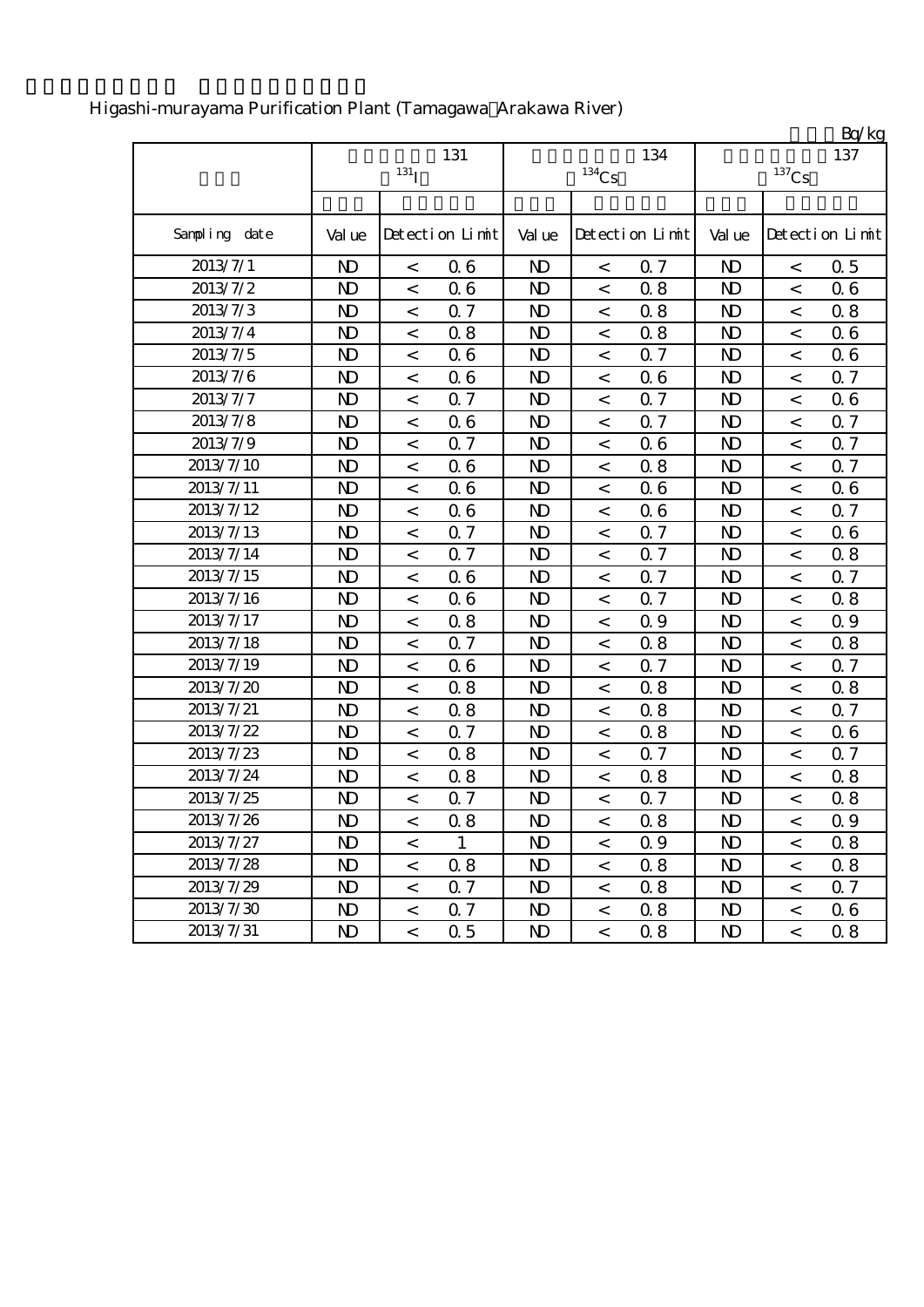|               |                |                          |                 |                |          |                 |                         |                          | Bq/kg           |
|---------------|----------------|--------------------------|-----------------|----------------|----------|-----------------|-------------------------|--------------------------|-----------------|
|               |                |                          | 131             |                |          | 134             |                         |                          | 137             |
|               |                | $131$ <sub>I</sub>       |                 |                | $134$ Cs |                 |                         | $^{137}\mathrm{Cs}$      |                 |
|               |                |                          |                 |                |          |                 |                         |                          |                 |
| Sampling date | Val ue         |                          | Detection Limit | Val ue         |          | Detection Limit | Val ue                  |                          | Detection Limit |
| 2013/7/1      | $\mathbf{D}$   | $\,<\,$                  | 06              | $\mathbf{D}$   | $\,<\,$  | Q <sub>7</sub>  | $\mathbf{D}$            | $\,<\,$                  | 0.5             |
| 2013/7/2      | N <sub>D</sub> | $\,<$                    | 06              | N <sub>D</sub> | $\,<\,$  | 0.8             | N <sub>D</sub>          | $\lt$                    | 06              |
| 2013/7/3      | $\mathbf{D}$   | $\,<$                    | 0.7             | $\mathbf{N}$   | $\,<\,$  | 0.8             | $\mathbf{D}$            | $\,<$                    | 0.8             |
| 2013/7/4      | $\mathbf{D}$   | $\,<$                    | 0.8             | N <sub>D</sub> | $\,<$    | 0.8             | $\mathbf{D}$            | $\,<$                    | 06              |
| 2013/7/5      | $\mathbf{D}$   | $\,<$                    | 06              | $\mathbf{D}$   | $\,<$    | 0.7             | $\mathbf{D}$            | $\,<$                    | 06              |
| 2013/7/6      | $\mathbf{D}$   | $\,<$                    | 06              | $\mathbf{D}$   | $\,<$    | 06              | $\mathbf{D}$            | $\lt$                    | 0.7             |
| 2013/7/7      | $\mathbf{D}$   | $\,<$                    | 0.7             | N <sub>D</sub> | $\,<$    | 0.7             | N <sub>D</sub>          | $\,<$                    | 06              |
| 2013/7/8      | $\mathbf{D}$   | $\,<\,$                  | 06              | $\mathbf{D}$   | $\,<\,$  | 0.7             | $\mathbf{D}$            | $\,<\,$                  | Q 7             |
| 2013/7/9      | $\mathbf{D}$   | $\,<$                    | 0.7             | $\mathbf{D}$   | $\,<$    | 06              | $\mathbf{D}$            | $\overline{\phantom{a}}$ | 0.7             |
| 2013/7/10     | $\mathbf{D}$   | $\,<$                    | 06              | $\mathbf{D}$   | $\,<$    | 0.8             | $\mathbf{D}$            | $\,<$                    | Q 7             |
| 2013/7/11     | $\mathbf{D}$   | $\,<$                    | 06              | $\mathbf{D}$   | $\,<$    | 06              | N <sub>D</sub>          | $\overline{a}$           | 06              |
| 2013/7/12     | N <sub>D</sub> | $\,<$                    | 06              | N <sub>D</sub> | $\,<$    | 06              | $\mathbf{D}$            | $\,<$                    | 0.7             |
| 2013/7/13     | $\mathbf{D}$   | $\,<$                    | 0.7             | $\mathbf{D}$   | $\,<$    | Q 7             | $\mathbf{D}$            | $\,<$                    | 06              |
| 2013/7/14     | N <sub>D</sub> | $\,<$                    | 0.7             | N <sub>D</sub> | $\,<$    | 0.7             | $\mathbf{D}$            | $\,<$                    | 0.8             |
| 2013/7/15     | $\mathbf{D}$   | $\,<$                    | 06              | $\mathbf{D}$   | $\,<$    | 0.7             | $\mathbf{D}$            | $\,<$                    | 0.7             |
| 2013/7/16     | $\mathbf{D}$   | $\,<$                    | 06              | $\mathbf{D}$   | $\,<$    | 0.7             | $\mathbf{D}$            | $\,<$                    | 0.8             |
| 2013/7/17     | N <sub>D</sub> | $\,<$                    | 0.8             | $\mathbf{D}$   | $\,<$    | 0.9             | $\mathbf{D}$            | $\,<$                    | 0.9             |
| 2013/7/18     | $\mathbf{D}$   | $\,<$                    | 0.7             | $\mathbf{D}$   | $\,<\,$  | 0.8             | $\mathbf{D}$            | $\,<$                    | 0.8             |
| 2013/7/19     | N <sub>D</sub> | $\,<$                    | 06              | N <sub>D</sub> | $\,<$    | Q 7             | N <sub>D</sub>          | $\,<$                    | 0.7             |
| 2013/7/20     | $\mathbf{D}$   | $\,<$                    | 0.8             | $\mathbf{D}$   | $\,<$    | 0.8             | $\mathbf{D}$            | $\,<$                    | 0.8             |
| 2013/7/21     | $\mathbf{D}$   | $\,<$                    | 0.8             | $\mathbf{D}$   | $\,<$    | 0.8             | $\mathbf{D}$            | $\,<$                    | Q 7             |
| 2013/7/22     | N <sub>D</sub> | $\,<$                    | 0.7             | $\mathbf{D}$   | $\,<$    | 0.8             | $\mathbf{D}$            | $\,<\,$                  | 06              |
| 2013/7/23     | N <sub>D</sub> | $\,<$                    | 0.8             | N <sub>D</sub> | $\,<\,$  | 0.7             | N <sub>D</sub>          | $\lt$                    | 0.7             |
| 2013/7/24     | $\mathbf{D}$   | $\,<$                    | 0.8             | N <sub>D</sub> | $\,<\,$  | 0.8             | N <sub>D</sub>          | $\,<$                    | 0.8             |
| 2013/7/25     | N <sub>D</sub> | $\,<$                    | 0.7             | N <sub>D</sub> | $\,<$    | 0.7             | N <sub>D</sub>          | $\,<$                    | 0.8             |
| 2013/7/26     | $\mathbf{N}$   | $\,<$                    | 08              | $\mathbf{D}$   | $\lt$    | 0.8             | $\mathbf{N} \mathbf{D}$ | $\,<$                    | 0.9             |
| 2013/7/27     | ND.            | $\,<\,$                  | $\mathbf{1}$    | N <sub>D</sub> | $\,<\,$  | 0.9             | N <sub>D</sub>          | $\lt$                    | 0.8             |
| 2013/7/28     | $\mathbf{D}$   | $\,<\,$                  | 0.8             | N <sub>D</sub> | $\,<\,$  | 0.8             | $\mathbf{D}$            | $\overline{\phantom{a}}$ | 0.8             |
| 2013/7/29     | $\mathbf{D}$   | $\,<\,$                  | 0.7             | N <sub>D</sub> | $\,<\,$  | 0.8             | $\mathbf{D}$            | $\,<\,$                  | 0.7             |
| 2013/7/30     | $\mathbf{D}$   | $\,<$                    | 0.7             | N <sub>D</sub> | $\,<\,$  | 0.8             | $\mathbf{D}$            | $\,<\,$                  | 06              |
| 2013/7/31     | $\mathbf{D}$   | $\overline{\phantom{a}}$ | 0.5             | $\mathbf{D}$   | $\,<\,$  | 0.8             | N <sub>D</sub>          | $\lt$                    | 0.8             |

# Higashi-murayama Purification Plant (Tamagawa Arakawa River)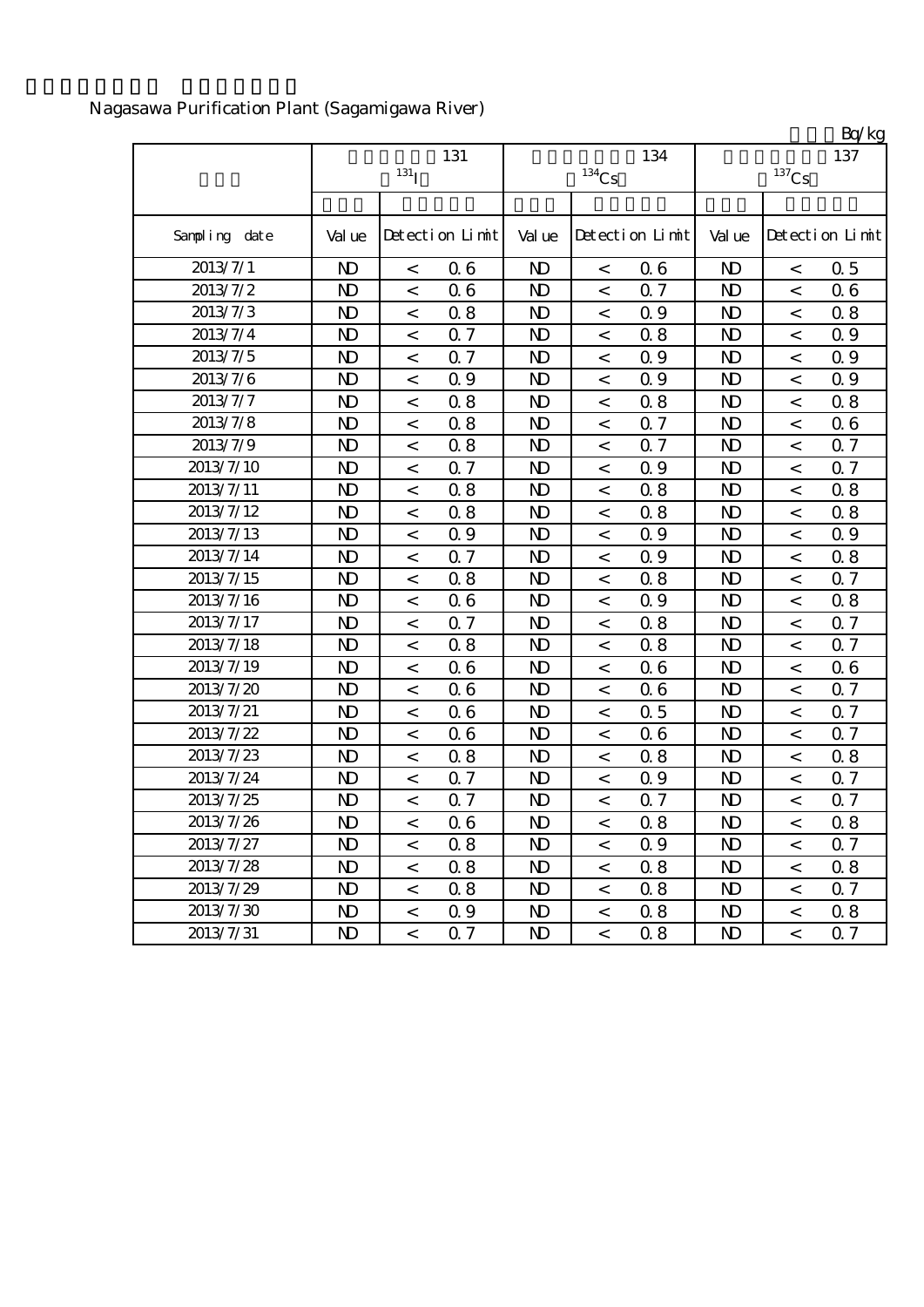|                  |                |                  |                 |                |                     |                 |                |                     | Bq/kg           |
|------------------|----------------|------------------|-----------------|----------------|---------------------|-----------------|----------------|---------------------|-----------------|
|                  |                | 131              |                 |                | 134                 |                 | 137            |                     |                 |
|                  |                | 131 <sub>I</sub> |                 |                | $^{134}\mathrm{Cs}$ |                 |                | $^{137}\mathrm{Cs}$ |                 |
|                  |                |                  |                 |                |                     |                 |                |                     |                 |
| Sampling date    | Val ue         |                  | Detection Limit | Val ue         |                     | Detection Limit | Val ue         |                     | Detection Limit |
| 2013/7/1         | N <sub>D</sub> | $\,<\,$          | 06              | $\mathbf{D}$   | $\,<$               | 06              | N <sub>D</sub> | $\,<$               | 0.5             |
| 2013/7/2         | $\mathbf{D}$   | $\,<$            | 06              | N <sub>D</sub> | $\lt$               | 0.7             | N <sub>D</sub> | $\lt$               | 06              |
| 2013/7/3         | $\mathbf{D}$   | $\,<$            | 0.8             | N <sub>D</sub> | $\lt$               | 0.9             | $\mathbf{D}$   | $\,<$               | 0.8             |
| 2013/7/4         | N <sub>D</sub> | $\,<$            | 0.7             | N <sub>D</sub> | $\,<$               | 0.8             | $\mathbf{D}$   | $\,<$               | 0.9             |
| 2013/7/5         | $\mathbf{D}$   | $\,<$            | 0.7             | N <sub>D</sub> | $\,<\,$             | 0.9             | $\mathbf{D}$   | $\,<\,$             | 0.9             |
| 2013/7/6         | N <sub>D</sub> | $\,<$            | 0.9             | N <sub>D</sub> | $\,<$               | 0.9             | $\mathbf{D}$   | $\,<$               | 0.9             |
| 2013/7/7         | $\mathbf{D}$   | $\,<\,$          | 0.8             | N <sub>D</sub> | $\,<$               | 0.8             | $\mathbf{D}$   | $\,<$               | 0.8             |
| $2013/7\sqrt{8}$ | $\mathbf{D}$   | $\,<$            | 0.8             | $\mathbf{D}$   | $\,<$               | 0.7             | $\mathbf{D}$   | $\,<$               | 06              |
| 2013/7/9         | $\mathbf{D}$   | $\,<\,$          | 0.8             | N <sub>D</sub> | $\,<$               | 0.7             | $\mathbf{D}$   | $\,<$               | 0.7             |
| 2013/7/10        | $\mathbf{D}$   | $\,<$            | 0.7             | N <sub>D</sub> | $\,<$               | 0.9             | $\mathbf{D}$   | $\,<\,$             | Q 7             |
| 2013/7/11        | N <sub>D</sub> | $\prec$          | 0.8             | N <sub>D</sub> | $\,<$               | 0.8             | $\mathbf{D}$   | $\,<$               | 0.8             |
| 2013/7/12        | $\mathbf{D}$   | $\,<$            | 0.8             | N <sub>D</sub> | $\,<$               | 0.8             | $\mathbf{D}$   | $\,<$               | 0.8             |
| 2013/7/13        | $\mathbf{D}$   | $\,<$            | Q 9             | N <sub>D</sub> | $\,<$               | Q 9             | $\mathbf{D}$   | $\,<\,$             | 0.9             |
| 2013/7/14        | N <sub>D</sub> | $\,<$            | 0.7             | N <sub>D</sub> | $\,<$               | 0.9             | N <sub>D</sub> | $\,<$               | 0.8             |
| 2013/7/15        | N <sub>D</sub> | $\,<$            | 0.8             | N <sub>D</sub> | $\,<$               | 0.8             | N <sub>D</sub> | $\,<$               | 0.7             |
| 2013/7/16        | N <sub>D</sub> | $\,<\,$          | 06              | N <sub>D</sub> | $\,<$               | 0.9             | $\mathbf{D}$   | $\,<$               | 0.8             |
| 2013/7/17        | $\mathbf{D}$   | $\,<$            | 0.7             | N <sub>D</sub> | $\,<$               | 0.8             | $\mathbf{D}$   | $\,<$               | Q 7             |
| 2013/7/18        | $\mathbf{D}$   | $\,<$            | 0.8             | $\mathbf{D}$   | $\,<$               | 0.8             | $\mathbf{D}$   | $\,<$               | Q 7             |
| 2013/7/19        | N <sub>D</sub> | $\,<$            | 06              | N <sub>D</sub> | $\lt$               | 06              | N <sub>D</sub> | $\,<$               | 06              |
| 2013/7/20        | N <sub>D</sub> | $\,<\,$          | 06              | N <sub>D</sub> | $\,<$               | 06              | $\mathbf{D}$   | $\,<$               | 0.7             |
| 2013/7/21        | $\mathbf{D}$   | $\,<\,$          | 06              | $\mathbf{D}$   | $\,<$               | 0.5             | $\mathbf{D}$   | $\lt$               | Q 7             |
| 2013/7/22        | N <sub>D</sub> | $\,<\,$          | 06              | N <sub>D</sub> | $\,<$               | 06              | $\mathbf{D}$   | $\,<$               | 0.7             |
| 2013/7/23        | N <sub>D</sub> | $\,<\,$          | 0.8             | N <sub>D</sub> | $\,<$               | 0.8             | N <sub>D</sub> | $\,<\,$             | 0.8             |
| 2013/7/24        | N <sub>D</sub> | $\,<\,$          | 0.7             | $\mathbf{D}$   | $\,<$               | 0.9             | $\mathbf{D}$   | $\,<$               | Q 7             |
| 2013/7/25        | N <sub>D</sub> | $\,<$            | 0.7             | N <sub>D</sub> | $\,<$               | 0.7             | N <sub>D</sub> | $\,<\,$             | 0.7             |
| 2013/7/26        | N <sub>D</sub> | $\,<\,$          | 06              | $\mathbf{D}$   | $\,<$               | 0.8             | $\mathbf{D}$   | $\,<$               | 0.8             |
| 2013/7/27        | N <sub>D</sub> | $\,<\,$          | 0.8             | $\mathbf{D}$   | $\,<$               | 0.9             | $\mathbf{D}$   | $\,<\,$             | 0.7             |
| 2013/7/28        | N <sub>D</sub> | $\,<\,$          | 0.8             | N <sub>D</sub> | $\,<$               | 0.8             | $\mathbf{D}$   | $\,<\,$             | 0.8             |
| 2013/7/29        | $\mathbf{D}$   | $\,<\,$          | 0.8             | $\mathbf{D}$   | $\,<\,$             | 0.8             | $\mathbf{D}$   | $\,<\,$             | 0.7             |
| 2013/7/30        | $\mathbf{D}$   | $\,<$            | 0.9             | N <sub>D</sub> | $\,<$               | 0.8             | $\mathbf{D}$   | $\,<$               | 0.8             |
| 2013/7/31        | $\mathbf{D}$   | $\,<\,$          | 0.7             | $\mathbf{D}$   | $\,<\,$             | 0.8             | N <sub>D</sub> | $\,<\,$             | 0.7             |

# Nagasawa Purification Plant (Sagamigawa River)